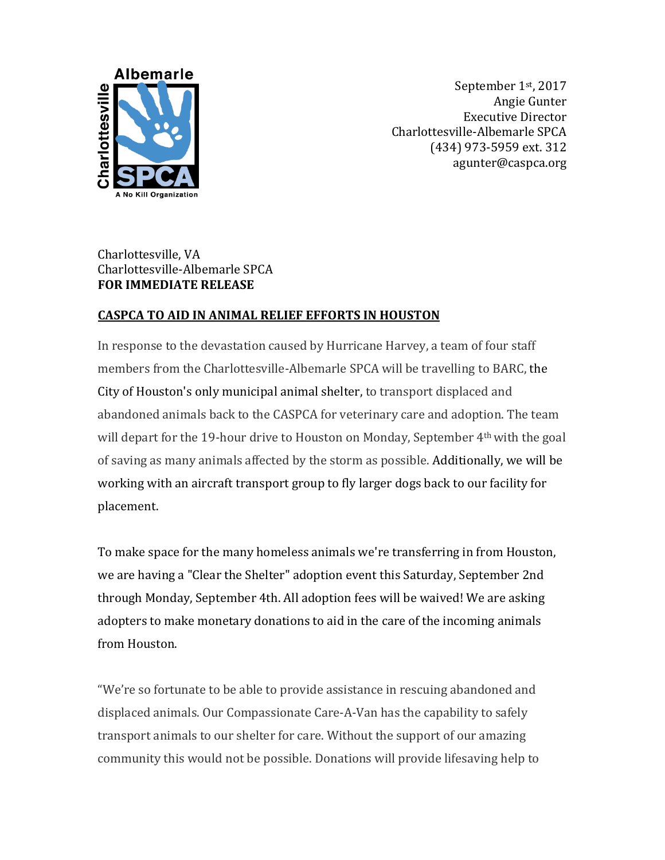

September 1st, 2017 Angie Gunter Executive Director Charlottesville-Albemarle SPCA (434) 973-5959 ext. 312 agunter@caspca.org

## Charlottesville, VA Charlottesville-Albemarle SPCA **FOR IMMEDIATE RELEASE**

## **CASPCA TO AID IN ANIMAL RELIEF EFFORTS IN HOUSTON**

In response to the devastation caused by Hurricane Harvey, a team of four staff members from the Charlottesville-Albemarle SPCA will be travelling to BARC, the City of Houston's only municipal animal shelter, to transport displaced and abandoned animals back to the CASPCA for veterinary care and adoption. The team will depart for the 19-hour drive to Houston on Monday, September 4th with the goal of saving as many animals affected by the storm as possible. Additionally, we will be working with an aircraft transport group to fly larger dogs back to our facility for placement.

To make space for the many homeless animals we're transferring in from Houston, we are having a "Clear the Shelter" adoption event this Saturday, September 2nd through Monday, September 4th. All adoption fees will be waived! We are asking adopters to make monetary donations to aid in the care of the incoming animals from Houston.

"We're so fortunate to be able to provide assistance in rescuing abandoned and displaced animals. Our Compassionate Care-A-Van has the capability to safely transport animals to our shelter for care. Without the support of our amazing community this would not be possible. Donations will provide lifesaving help to